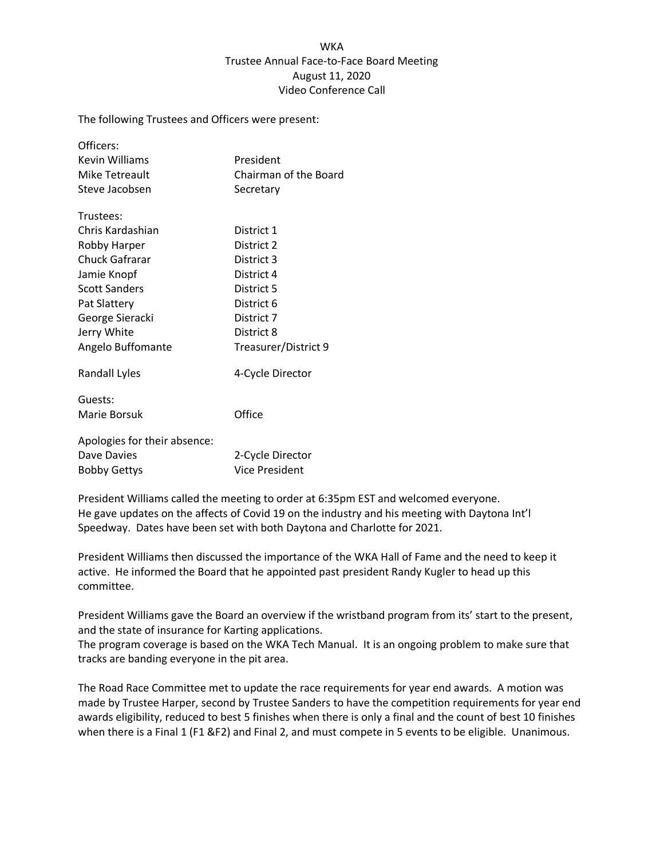## **WKA** Trustee Annual Face-to-Face Board Meeting August 11, 2020 Video Conference Call

The following Trustees and Officers were present:

| Officers:                    |                       |
|------------------------------|-----------------------|
| Kevin Williams               | President             |
| Mike Tetreault               | Chairman of the Board |
| Steve Jacobsen               | Secretary             |
| Trustees:                    |                       |
| Chris Kardashian             | District 1            |
| Robby Harper                 | District 2            |
| Chuck Gafrarar               | District 3            |
| Jamie Knopf                  | District 4            |
| <b>Scott Sanders</b>         | District 5            |
| Pat Slattery                 | District 6            |
| George Sieracki              | District 7            |
| Jerry White                  | District 8            |
| Angelo Buffomante            | Treasurer/District 9  |
| <b>Randall Lyles</b>         | 4-Cycle Director      |
| Guests:                      |                       |
| Marie Borsuk                 | Office                |
| Apologies for their absence: |                       |
| Dave Davies                  | 2-Cycle Director      |
| Bobby Gettys                 | Vice President        |

President Williams called the meeting to order at 6:35pm EST and welcomed everyone. He gave updates on the affects of Covid 19 on the industry and his meeting with Daytona Int'l Speedway. Dates have been set with both Daytona and Charlotte for 2021.

President Williams then discussed the importance of the WKA Hall of Fame and the need to keep it active. He informed the Board that he appointed past president Randy Kugler to head up this committee.

President Williams gave the Board an overview if the wristband program from its' start to the present, and the state of insurance for Karting applications.

The program coverage is based on the WKA Tech Manual. It is an ongoing problem to make sure that tracks are banding everyone in the pit area.

The Road Race Committee met to update the race requirements for year end awards. A motion was made by Trustee Harper, second by Trustee Sanders to have the competition requirements for year end awards eligibility, reduced to best 5 finishes when there is only a final and the count of best 10 finishes when there is a Final 1 (F1 &F2) and Final 2, and must compete in 5 events to be eligible. Unanimous.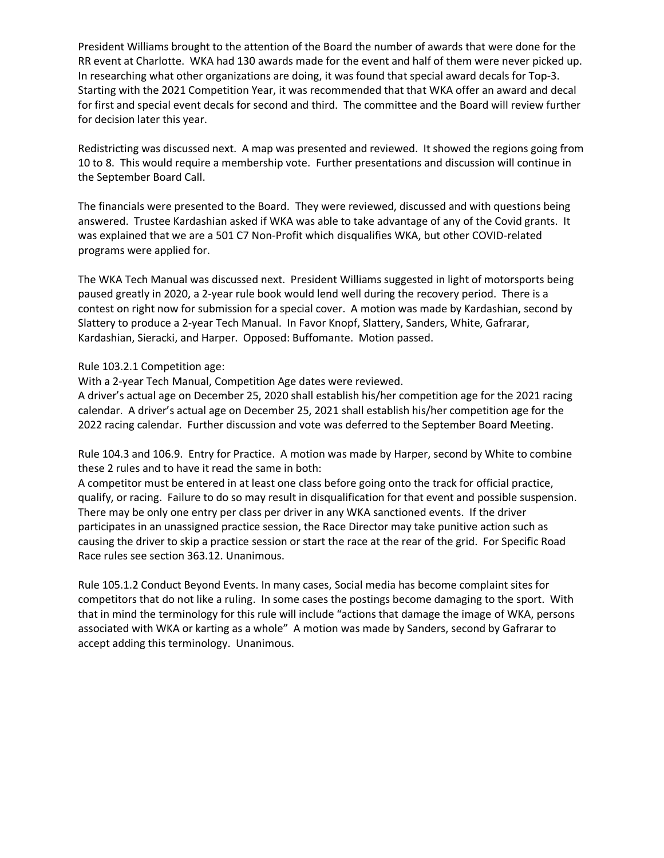President Williams brought to the attention of the Board the number of awards that were done for the RR event at Charlotte. WKA had 130 awards made for the event and half of them were never picked up. In researching what other organizations are doing, it was found that special award decals for Top-3. Starting with the 2021 Competition Year, it was recommended that that WKA offer an award and decal for first and special event decals for second and third. The committee and the Board will review further for decision later this year.

Redistricting was discussed next. A map was presented and reviewed. It showed the regions going from 10 to 8. This would require a membership vote. Further presentations and discussion will continue in the September Board Call.

The financials were presented to the Board. They were reviewed, discussed and with questions being answered. Trustee Kardashian asked if WKA was able to take advantage of any of the Covid grants. It was explained that we are a 501 C7 Non-Profit which disqualifies WKA, but other COVID-related programs were applied for.

The WKA Tech Manual was discussed next. President Williams suggested in light of motorsports being paused greatly in 2020, a 2-year rule book would lend well during the recovery period. There is a contest on right now for submission for a special cover. A motion was made by Kardashian, second by Slattery to produce a 2-year Tech Manual. In Favor Knopf, Slattery, Sanders, White, Gafrarar, Kardashian, Sieracki, and Harper. Opposed: Buffomante. Motion passed.

Rule 103.2.1 Competition age:

With a 2-year Tech Manual, Competition Age dates were reviewed.

A driver's actual age on December 25, 2020 shall establish his/her competition age for the 2021 racing calendar. A driver's actual age on December 25, 2021 shall establish his/her competition age for the 2022 racing calendar. Further discussion and vote was deferred to the September Board Meeting.

Rule 104.3 and 106.9. Entry for Practice. A motion was made by Harper, second by White to combine these 2 rules and to have it read the same in both:

A competitor must be entered in at least one class before going onto the track for official practice, qualify, or racing. Failure to do so may result in disqualification for that event and possible suspension. There may be only one entry per class per driver in any WKA sanctioned events. If the driver participates in an unassigned practice session, the Race Director may take punitive action such as causing the driver to skip a practice session or start the race at the rear of the grid. For Specific Road Race rules see section 363.12. Unanimous.

Rule 105.1.2 Conduct Beyond Events. In many cases, Social media has become complaint sites for competitors that do not like a ruling. In some cases the postings become damaging to the sport. With that in mind the terminology for this rule will include "actions that damage the image of WKA, persons associated with WKA or karting as a whole" A motion was made by Sanders, second by Gafrarar to accept adding this terminology. Unanimous.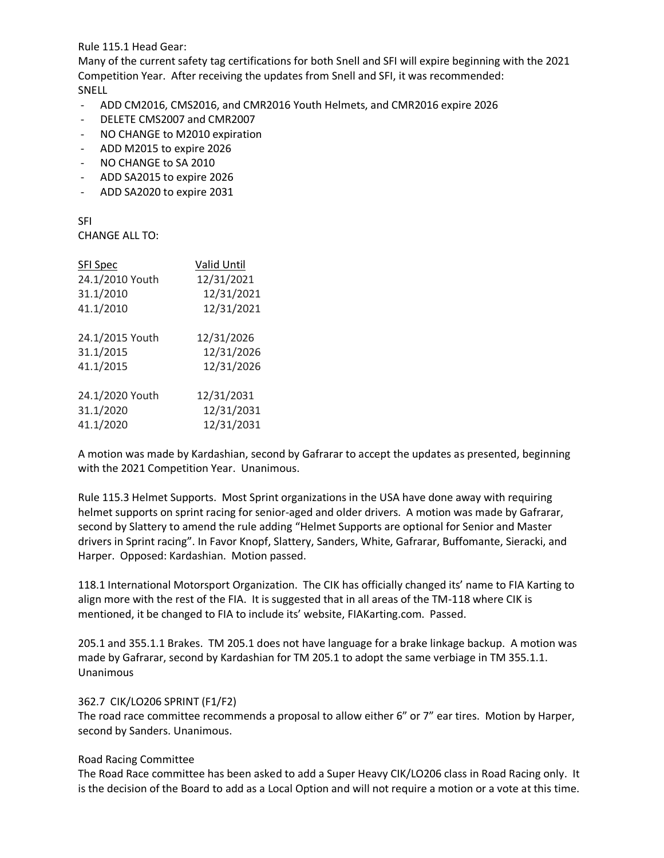Rule 115.1 Head Gear:

Many of the current safety tag certifications for both Snell and SFI will expire beginning with the 2021 Competition Year. After receiving the updates from Snell and SFI, it was recommended: SNELL

- ADD CM2016, CMS2016, and CMR2016 Youth Helmets, and CMR2016 expire 2026
- DELETE CMS2007 and CMR2007
- NO CHANGE to M2010 expiration
- ADD M2015 to expire 2026
- NO CHANGE to SA 2010
- ADD SA2015 to expire 2026
- ADD SA2020 to expire 2031

SFI CHANGE ALL TO:

| <b>SFI Spec</b> | Valid Until |
|-----------------|-------------|
| 24.1/2010 Youth | 12/31/2021  |
| 31.1/2010       | 12/31/2021  |
| 41.1/2010       | 12/31/2021  |
| 24.1/2015 Youth | 12/31/2026  |
| 31.1/2015       | 12/31/2026  |
| 41.1/2015       | 12/31/2026  |
| 24.1/2020 Youth | 12/31/2031  |
| 31.1/2020       | 12/31/2031  |
| 41.1/2020       | 12/31/2031  |

A motion was made by Kardashian, second by Gafrarar to accept the updates as presented, beginning with the 2021 Competition Year. Unanimous.

Rule 115.3 Helmet Supports. Most Sprint organizations in the USA have done away with requiring helmet supports on sprint racing for senior-aged and older drivers. A motion was made by Gafrarar, second by Slattery to amend the rule adding "Helmet Supports are optional for Senior and Master drivers in Sprint racing". In Favor Knopf, Slattery, Sanders, White, Gafrarar, Buffomante, Sieracki, and Harper. Opposed: Kardashian. Motion passed.

118.1 International Motorsport Organization. The CIK has officially changed its' name to FIA Karting to align more with the rest of the FIA. It is suggested that in all areas of the TM-118 where CIK is mentioned, it be changed to FIA to include its' website, FIAKarting.com. Passed.

205.1 and 355.1.1 Brakes. TM 205.1 does not have language for a brake linkage backup. A motion was made by Gafrarar, second by Kardashian for TM 205.1 to adopt the same verbiage in TM 355.1.1. Unanimous

## 362.7 CIK/LO206 SPRINT (F1/F2)

The road race committee recommends a proposal to allow either 6" or 7" ear tires. Motion by Harper, second by Sanders. Unanimous.

## Road Racing Committee

The Road Race committee has been asked to add a Super Heavy CIK/LO206 class in Road Racing only. It is the decision of the Board to add as a Local Option and will not require a motion or a vote at this time.